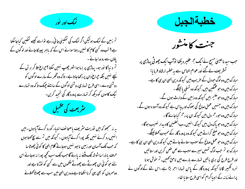

تم زمین کے نمک ہولیکن اگر نمک کی نمکینی جاتی رہے تواسے کیسے نمکین کیاجاسکتا ہے؟ تب وہ کسی کام کا نہیں رہتا سوائے اس کے کہ ماہر پہینکاجائے اور لوگوں کے یاؤں سے رونداحائے ۔ تم د نیا کا نور ہو۔ یہاڑی پر بسا ہواشہر چھپ سٰیں سکتا ؟حیراع جلا کر بر تن کے سچے نہیں بلکہ حجراع دان پررکھاجاتا ہے۔ تا کہ وہ گھر کے سارے لوگوں کو روشنی دے۔اسی طرح تمہاری روشنی لوگوں کے سامنے جِمک تا کہ وہ تمہارے نیک کاموں کو دیکھ کر تہارے پرورد گار کی تمجید کریں۔



بہ نہ سمجھو کہ میں توریت مثر یف یاصحائف انبیاء کورد کرنے آباہوں۔میں انہیں رد کرنے نہیں بلکہ پورا کرنے آباہوں - کیونکہ میں تم سے سچ کھتا ہوں کہ جب تک آسمان اور زمین نا بود نہیں ہوجاتے کلام الهی کا کو ٹی چھوٹا سا حرف یا ذراسا شوشہ تک ملنے نہ پائے گا جب تک سب کحچھ پورا نہ ہوجائے اس لئے حو کو ئی ان چھوٹے سے چھوٹے حکموں میں سے کسی کو نوڑ تاہے اور دوسمروں کو بھی یہی کرناسکھاتا ہے وہ دین الہی میں سب سے چھوٹاکھلائے



جنت كامنشور

حب سید ناعیسیٰ مسیح نے ایک حجم عفیر دیکھا توآپ ایک چھوٹی پہاڑی پر تسٹر پف لے گئے اور عوام الناس سے یہ خطبہ ارشاد فرما یا : مبارک بیں وہ لوگ حبو دل کے عریب،میں کیونکہ دین ایبی ان ہی کا ہے۔ مبارک ہیں وہ حو عمکین ہیں ، کیونکہ وہ تسلی یا ئینگے۔ مبارک ہیں وہ حوحکیم ہیں کیونکہ وہ زمین کے وارث ہوں گے۔ مبارک ہیں وہ جنہیں عمل صالح کی بھوک اور پیاس ہے کیونکہ وہ آسود ہ ہوں گے۔ مبارک ہیں وہ حورحم دل ہیں کیونکہ ان پررحم کیاجائے گا۔ مبارک بیں وہ حویاک دل بیں کیونکہ انہیں رب العلمین کا دیدار نصیب ہوگا۔ مبارک ہیں وہ حوصلح کراتے ہیں کیونکہ وہ پرورد گار کے محبوب کھلائینگے۔ مبارک ہیں وہ حبوعمل صالح کے سبب ستانے جاتے ہیں کیونکہ دین الٰہی ان ہی کاہے۔ مبارک ہو تم جب لوگ تہیں میرے سبب سے لعن طعن کریں اور ستائنیں اور طرح طرح کی بری باتیں تہارے مارے میں ناحق کھیں، تم حوش ہونا نسرہ تکبیر لگانا کیونکہ پرورد گار کے پاس تہارا اجر بڑا ہے۔اس لئے کےلوگوں نے پرانے زما نہ کے انبیا کرام کواسی طرح ستا یا تھا۔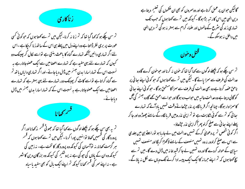

تم سن چکے ہو کہ کہا گیا تھا کہ تم زنا نہ کرنا۔لیکن میں تم سے کھتاہوں کہ حوکوئی کسی عورت پر بری نظر ڈالتا ہے وہ اپنے دل میں پہلے ہی اس کے ساتھ زنا کر چکا ہے ۔اس لئے اگر تہاری دائیں آنکھ تہارے گناہ کا باعث بنتی ہے لواسے لکال کرپھینک دو کیوں کہ تہارے لئے یہی مفید ہے کہ تہارے اعضامیں سے ایک عصوجاتارہے یہ نسبت اس کے تمہاراسارا بدن جہنم میں ڈال دیاجائے۔اور اگر تہاری دایاں باتھ تم سے گناہ کراتاہے لواسے کامے کر پھینک دو، تہارے لئے یہی بہترہے کہ تہارے اعضامیں سے ایک عصوجاتارہے یہ نسبت اس کے کہ تہاراسارا بدن جسم میں ڈال دیاجائے۔



تم یہ بھی سن چکے ہو کہ پچھلے لوگوں سے کہا گیا تھا کہ جھوٹی قسم مذکھانا اور اگر پرورد گار کی قسمیں کھاؤ توا نہیں پورا کرنا۔لیکن میں تم سے کھتا ہوں کہ قسم ہر گزمت کھانا، نہ توآسمان کی کیونکہ وہ پرورد گار کا تخت ہے۔ نہ زمین کی کیونکہ وہ ان کے باؤں کی حیو کی ہے نہ پروشلیم کی کیونکہ وہ بررگان دین کا شہر ہے۔ نہ اپنے سر کی قسم کھانا کیونکہ <sup>ت</sup>م اپنےایک بال کو بھی سفید یاسیاہ گالیکن حوان پر عمل کرتاہے اور دوسمروں کو بھی ان حکموں کی تعلیم دیتا ہے دین الہی میں اس کار تیہ بڑاہوگا۔ کیونکہ میں تم سے کھتاہوں کہ جب تک تہاری زند گی سٹرع کےعالموں اور علماء کرام سے بہتر نہ ہو گی <sup>تم</sup>ر دین الهی میں داخل نہ ہوسکو گے۔



تم سن چکے ہو کہ پچھلے لوگوں سے کہا گیا تھا کہ حون نہ کرنااور حوحون کرے گاوہ عدالت کی طرف سے سمزا پائے گا۔لیکن میں تم سے کھتا ہوں کہ حو کوئی اپنے بھائی پر ناحق عصہ کرتاہے وہ بھی عدالت کی طرف سے سمرٰاکامشحق ہو گا۔ حو کوئی اپنے ہعا ئی کو گالی دیتا ہے وہ عدالت عالیہ میں حواب دہ ہو گا اور حواسے احمق کھے گا وہ جس<sup>ن</sup>ہ کی آگ کاسمزاوار ہوگا۔ چنانچہ اگر قر بالگاہ پر نذر حچڑھاتے وقت تہیں باد آئے کہ تہارے سائی کو <sup>ت</sup>م سے کوئی شکایت ہے تو <sup>ت</sup>م اپنی نذر وہیں قر با لگاہ کے سامنے چھوڑ دواور جا کر پہلے اپنے سائی سے صلح کرلو پھرا کراپنی نذر حچڑھاؤ۔ اگر کوئی شخص تم پر دعویٰ کرکے تہیں عدالت میں لے جارہا ہو توراستے ہی میں جلدی سے اس سے صلح کرلو ور نہ وہ تہیں منصف کے سامنے لاکھڑا کر لگا اور منصف تہیں سیاہی کے حوالہ کردے گا اور وہ تہیں لے جا کر قبید خانہ میں ڈال دے گا۔میں تم سے چچ کھتا ہوں کہ <sup>ت</sup>م اپنے حرما نہ کاایک ایک پیسہ ادا کرنے تک وباں سے لکل نہ یاؤ گے۔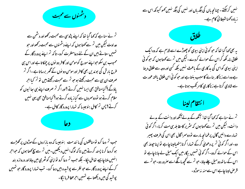د شمنوں سے محبت

تم نے سناہے کہ کہا گیا تھا کہ اپنے پڑوسی سے محبت رکھواور دشمن سے عداوت لیکن میں تم سے کھتا ہوں کہ اپنے دشمنوں سے محبت رکھواور حبو تہیں ستاتے ہیں ان کے لئے دعامففرت کرو- تاکہ <sup>تم</sup> اپنے پرورد گار کے محبوب بن سکو حبوا پنے سورج کومومن اور کافر دو نوں پر چمکا تا ہے اور اس ہی طرح بارش کی بوندیں بھی کافر اور مومن دولوں کے گھر برساتاہے۔اگر <sup>تم</sup> صرف ان ہی سے محبت رکھتے ہوجو تم سے محبت رکھتے ہیں نو تم کیا احر یاؤگے ؟ کیامنافق بھی ایسا نہیں کرتے ؟اور اگر تم صرف اپنے ہی ہیا ئیوں کو سلام کرتے ہو نو دوسروں سے کیار مادہ کرتے ہو؟ کیامنافق بھی یہی نہیں کرتے؟ پس <sup>تر</sup> کامل بنوجیسا کہ تہارا پرورد گار کامل ہے۔



حب <sup>تم</sup> دعا کرو تومنافقوں کی ما نند مت بنوجیسا کہ وہ مازاروں کےموڑوں پر *کھڑے* ہو کر دعا کرنا پسند کرتے ہیں تا کہ لوگ انہیں دیکھیں۔میں تم سے سچ کہتا ہوں کہ حواجر انہیں ملناچاہیے تھامل جکا۔ بلکہ حب تم دعا کرو تواپنی کوٹھری میں جاؤاور دروازہ بند کرکے اپنے پرورد گار سے حو نظر سے پوشیدہ بیں دعا کرو۔ تب تہارا پرورد گار حو تہیں پوشید گی میں دیکھتا ہے تہہیں احرعطا فرمائیگا۔



المستخلات المستخلصة یہ بھی کہا گیا تھا کہ حبو کوئی اپنی بیوی کو چھوڑے اسے لازم ہے کہ وہ ایک طلاق نامہ لکھ کراس کے حوالے کردے۔لیکن میں تم سے کھتاہوں کہ حوکوئی اپنی بیوی کواس کی بد کاری کے باعث نہیں بلکہ کسی اور وصہ سے طلاق دیتا ہے وہ اسے زنا کار بنانے کا سبب بنتا ہے اور حبو کو ئی اس طلاق یافتہ عور ت سے شادی کرتاہے ر ناکاری کامر تکب ہوتاہے۔

السلام لينا المستخلص

تم نے سناہے کہ کہا گیا تھا: 'تکھ کے مدلے آنکھ اور دانت کے مدلے دانت۔لیکن میں تم سے کھتاہوں کہ سٹریر کامقابلہ ہی مت کرنا۔اگر کوئی تہارے دائیں گال پرطمانچہ مارے نو دوسراگال بھی اس کی طرف پھیر دو۔اور اگر کو ئی تم پر دعویٰ کرکے تہارا کرتا ہتھیالپنا چاہے تواپنا حپوعہ بھی اس کے حوالے کردو-اگر کوئی تہیں بیگارمیں ایک میل لے جا ناچاہے تو اس کے ساتھ دومیل چلے حاؤ-جو تم سے محمجھ ہانگے اسے صرور دو-جو تم سے قرص لیناچاہے اس سے منہ نہ موڑو۔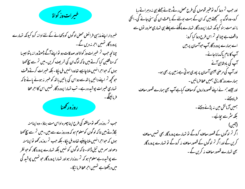فسيمرات وزكواة فللمستخير

خسر دار اپنے مذہبی فرائض محض لوگوں کو دکھانے کے لئے ادا نہ کرو کیونکہ تہارے پرورد گار تہیں اجر نہ دیں گے۔ چنانچه حب تم خیبرات وز کواة اور صدقات دو لواپنے آگے ڈھنڈورا نہ پٹواجیسا کہ منافقین کیا کرتے ہیں تاکہ لوگ ان کی تعریف کریں-میں تم سے سچ کھتا ہوں کہ حواحرانہیں ملنا چاہیے تعاوہ انہیں مل جکا - بلکہ خیبرات کرتے وقت حو محچھ تم اپنے دائیں باتھ سے دواس کی بائیں باتھ کو خسر نہ ہونے پائے تاکہ تہاری خیرات پوشیدہ رہے۔ تب تہارا پرورد گار تہیں اس کااجرعطا فرمائینگے۔ روزه رکھنا<br>دوزہ رکھنا

حب <sup>تم</sup> روزه رکھو <sub>ل</sub>ومنافقو کی طرح اپنا چ<sub>م</sub>ره اداس مت بناؤ – وه اپنامنه لگاڑتے ہیں تا کہ لوگوں کومعلوم ہو کہ وہ روزے سے بیں۔میں <sup>تم</sup>ر سے سچ کھتا ہوں کہ حواحرا نہیں ملنا چاہئیے تھاوہ مل جکا۔ بلکہ حب <sup>تم</sup> روزہ رکھو لواپنامنہ دھواور سر میں تیل ڈالو۔ تا کہ لوگوں کو نہیں بلکہ تہارے پرورد گار کو حو نظر سے پوشیدہ ہے معلوم ہو کہ <sup>تم</sup> روزدار ہواور تہارا پرورد گار حو تہیں پوشید کی

میں دیکھتا ہے تہیں احرعطا فرمائیگا-

اور جب <sup>تت</sup>ہ دعا کرو نوعنیر قوموں کی *طرح محض د*یے رطائے جملے ہی نہ دہراتے رہا کرو۔وہ لوگ یہ سمجھتے ہیں کہ ان کے بہت بولنے کے باعث ان کی سنی حالئے گی۔انکی ما نند مت بنو کیونکہ تہارا پرورد گار تہارے مانگنے سے پہلے ہی تہاری صرور نوں سے واقف ہے چنانچہ تم اس طرح دعا کیا کرو: اے ہمارے پرورد گارآپ حواسمان پر ہیں آپ کا نام پاک ما نا جائے۔ کئپ کی بادشاہی آئے اور آپ کی مرصی جیسی آسمان پر پوری ہو تی ہے زمین پر بھی ہو۔ ہمارےروز کارزق ہمیں عطا فرمائیں -اور جیسے ہم نے اپنے قصورواروں کومعاف کیاہے آپ بھی ہمارے قصور معاف فرمادیجئے ۔ ہمیں آرمائش میں نہ پڑنے دیجئے۔ بکہ مثر سے بچائیے۔ (آمین) اگر <sup>تر</sup> لوگوں کے قصور معا**ت** کروگے <sub>ل</sub>و تہارے پرورد گار بھی تہیں معا**ت** کریں گے اور اگر <sup>تر</sup> لوگوں کے قصور معا**ت** نہ کروگے تو تہارے پرورد گار بھی تہارے قصور معاف نہ کریں گے۔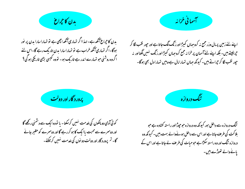

بدن کا حجراع ٰ آنکھ ہے۔ لہذاا گر تہاری آنکھ اچھی ہے تو تہاراسارا بدن پر نور ہوگا-اگر تہاری آنکھ خراب ہے تو تہاراسارا بدن تاریک رہے گا-اس لئے اگروہ روشنی حو تہارے اندر ہے تاریک ہو۔ تووہ کیسی بڑی تاریکی ہو گی؟



اپنے لئے زمین پر مال وزر جمع نہ کروجہاں کیپڑااور زنگ لگ جاتا ہے اور حپور نقب لگا کر حٍرالیتے ہیں۔ بلکہ اپنے لئے آسمان پر خزانہ جمع کروحہاں کیپڑااور زنگ نہیں لگتااور نہ حپور نقب لگا کر حراتے ہیں۔ کیونکہ حہاں تہارامال ہے وہیں تہارا دل بھی ہوگا۔

برورد گار اور دولت<br>پرورد گار اور دولت

میگ دروازه<br>منگ دروازه

کوئی آدمی دو مالکوں کی خدمت نہیں کرسکتا۔ یا تووہ ایک سے دشمنی رکھے گا اور دوسمرے سے محبت پاایک کا ہو کر رہے گا اور دوسرے کو حقیر جانے گا- <sup>تم</sup>ر پرورد گار اور دولت دو نوں کی <sub>خد</sub>مت <sup>نہی</sup>ں کرسکتے۔

تنگ دروازہ سے داخل ہو، کیونکہ وہ دروازہ حوحپوڑااور راستہ کشادہ ہے حبو ہلاکت کی طرف جاتا ہے اور اس سے داخل ہونےوالے بہت،میں۔ کیونکہ وہ دروازہ تنگ اور وہ راستہ سکڑاہے حبوحیات کی طرف لے جاتاہے اور اس کے یانے والے تھوڑے بیں۔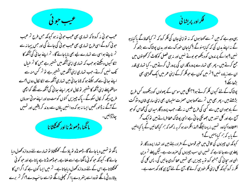حيب جوئى

عیب حو ئی نہ کرو تا کہ تہاری بھی عیب حو ئی نہ ہو کیونکہ حس طرح تم عیب حبو ئی کروگے اسی طرح تہاری بھی عیب حبو ئی کی جائے گی اور حس پیما نہ سے تم ناپتے ہواسی سے تہارے لیے بھی ناپاجائے گا- تم اپنے ہیا ئی کی آنکھ کا تئکا کیوں دیکھتے ہوجب کہ تہاری اپنی آنکھ میں شہتیر ہے جس کا تم خیال یک نہیں کرتے۔جب تہاری اپنی آنکھ میں شہتیر ہے لو تم کس منہ سے اپنے سائی سے کہہ سکتے ہو کہ لاؤ سائی میں تہاری آنکھ سے تنکا لکال دوں؟اے منافقوپیطےاپنی آنکھ کاشت یر تو لکال لو پھر اپنے سائی کی آنکھ سے تنکے کواچھی طرح دیکھ کر لکال سکوگے۔ پاک چیپزیں کتوں کومت دواور اپنے مو ٹی سورؤں کے آگے نہ ڈالو، تھمیں ایسا نہ ہو کہ وہ انہیں یاؤں سے روند کر پلٹیں اور تمہیں <sub>عا</sub>زڈا<sup>لیں۔</sup><br>مانگنا، ڈھونڈنا اور *کھٹک*تا نا ىياردالى<sub>س</sub>-

مائگو تو تہمیں دیاجائے گا۔ ڈھونڈو تو یاؤگے۔ تھٹکٹاؤ تو تہارے لئے دروازہ تھول دیا جالے گا۔ کیونکہ حو کوئی مانگتاہے اسے ملتاہے ،حوڈھونڈ تاہے پاتاہے اور حو کوئی کھمکٹا تاہے اس کے لئے دروازہ کھول دیاجا تاہے۔ تم میں ایسا کون ہے کہ اگراس کا بیٹارو ٹی مانگے تووہ اسے پتھر دے مااگر مجعلی مانگے تواسے سانپ دے؟اگر <sup>تم</sup> برے



یہی وجہ ہے کہ میں تم سے کھتا ہوں کہ یہ تواپنی عان کی فکر کرو کہ تم کیا کھاؤگے پا کیا پیو گے نہ اپنے مدن کی کہ کیا پہنوگے ؟ کیاجان حوراک سے اور بدن پوشاک سے بڑھ کر نہیں؟ہواکے پر ندوں کو دیکھوحو بوتے نہیں اور نہ ہی فصل کو کاٹ کرکھیتوں میں جمع کرتے ہیں ۔ پھر بھی تہارے پرورد گار ان کی پرورش کرتے ہیں ۔ کیا تہاری قدر ان سے زیادہ نہیں ؟ تم میں کون ہے حوفکر کرکے اپنی عمر میں ایک گھڑی بھی بڑھاسکے؟ پوشاک کے لئے کیوں فکر کرتے ہو؟جنگل میں سوسن کے پھولوں کو دیکھووہ کس طرح بڑھتے ہیں ۔ پھر بھی میں تم سے کھتا ہوں حصرت سلیمان بھی اپنی ساری شان وسٹوکت کے ماوحود ان میں سے کسی کی طرح ملبس نہ تھے۔جب پرورد گار میدان کی گھاس کو حو آج ہے اور کل تنور میں جھونکی عاتی ہے ایسی پوشاک عطا فرماتے ہیں توایک تحم اعتقادو؛ کیاوہ تہیں نہ پہنائینگے ؟اہذافکرمند ہو کر یہ نہ کہو کہ ہم کیاکھائیں گے پا کیا پئیں گے یا یہ کہ ہم کیا پہنیں گے؟ کیونکہ ان چیزوں کی تلاش میں عنیر قوموں کے افراد رہتے ہیں اور تہارا پرورد گار تو پہلے ہی سے جا نتاہے کہ تہیں ان سب چیزوں کی صرورت ہے۔لیکن پہلے تم دین الهی اور سچا ئی کی جستعو کرو تو یہ چیزیں بھی تہیں عطا کردی جائیں گی۔ پس کل کی کلر نہ کرو کیونکہ کل اپنی فکر حود ہی کرلے گا۔آج کے لئے آج ہی کا د کھ بہت ہے۔